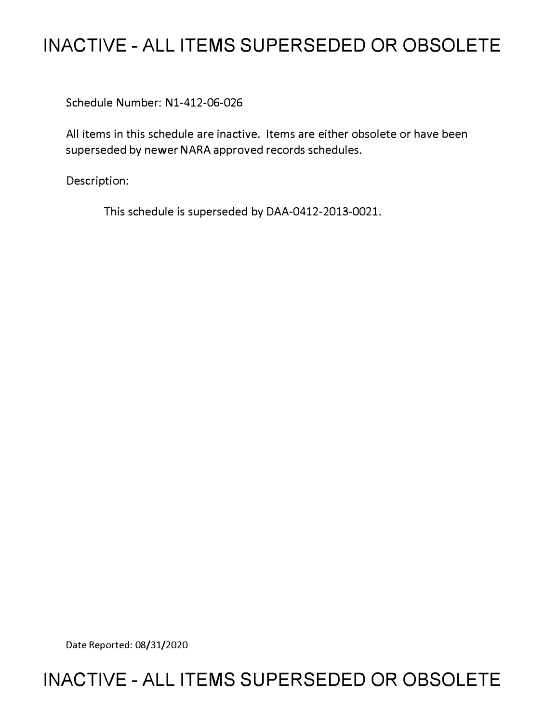# **INACTIVE - ALL ITEMS SUPERSEDED OR OBSOLETE**

Schedule Number: Nl-412-06-026

All items in this schedule are inactive. Items are either obsolete or have been superseded by newer NARA approved records schedules.

Description:

This schedule is superseded by DAA-0412-2013-0021.

Date Reported: 08/31/2020

# **INACTIVE - ALL ITEMS SUPERSEDED OR OBSOLETE**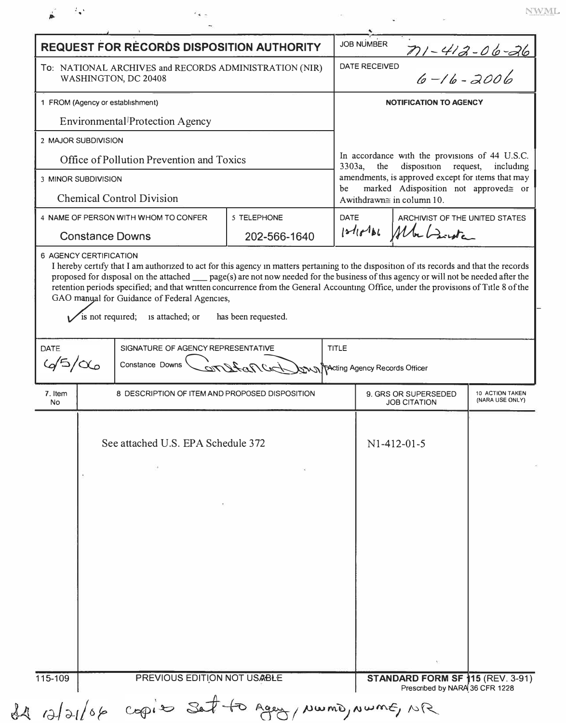|                                                                                | <b>REQUEST FOR RECORDS DISPOSITION AUTHORITY</b>                                                        |                | <b>JOB NUMBER</b>                                                                                                            |                                                               |                       |
|--------------------------------------------------------------------------------|---------------------------------------------------------------------------------------------------------|----------------|------------------------------------------------------------------------------------------------------------------------------|---------------------------------------------------------------|-----------------------|
| To: NATIONAL ARCHIVES and RECORDS ADMINISTRATION (NIR)<br>WASHINGTON, DC 20408 |                                                                                                         |                | $71 - 412 - 06 - 26$<br>$6 - 16 - 2006$<br>DATE RECEIVED                                                                     |                                                               |                       |
| 1 FROM (Agency or establishment)                                               |                                                                                                         |                | <b>NOTIFICATION TO AGENCY</b>                                                                                                |                                                               |                       |
| Environmental <sup><i>[Protection Agency</i></sup>                             |                                                                                                         |                |                                                                                                                              |                                                               |                       |
|                                                                                | 2 MAJOR SUBDIVISION                                                                                     |                |                                                                                                                              |                                                               |                       |
|                                                                                | Office of Pollution Prevention and Toxics                                                               |                | 3303a,<br>the                                                                                                                | In accordance with the provisions of 44 U.S.C.<br>disposition | request,<br>including |
| 3 MINOR SUBDIVISION<br><b>Chemical Control Division</b>                        |                                                                                                         |                | amendments, is approved except for items that may<br>marked Adisposition not approved= or<br>be<br>Awithdrawn≅ in column 10. |                                                               |                       |
|                                                                                | 4 NAME OF PERSON WITH WHOM TO CONFER                                                                    | 5 TELEPHONE    | DATE                                                                                                                         | ARCHIVIST OF THE UNITED STATES                                |                       |
| <b>Constance Downs</b>                                                         |                                                                                                         | 202-566-1640   | 1216161                                                                                                                      |                                                               |                       |
|                                                                                |                                                                                                         |                |                                                                                                                              |                                                               |                       |
| DATE<br>$45/\alpha$<br>7. Item                                                 | SIGNATURE OF AGENCY REPRESENTATIVE<br>Constance Downs<br>8 DESCRIPTION OF ITEM AND PROPOSED DISPOSITION | CITY Araf City | <b>TITLE</b><br><b>XXXX</b> TActing Agency Records Officer                                                                   | 9. GRS OR SUPERSEDED                                          | 10 ACTION TAKEN       |
| No                                                                             |                                                                                                         |                |                                                                                                                              | <b>JOB CITATION</b>                                           | (NARA USE ONLY)       |
|                                                                                | See attached U.S. EPA Schedule 372                                                                      |                |                                                                                                                              | $N1-412-01-5$                                                 |                       |
|                                                                                |                                                                                                         |                |                                                                                                                              |                                                               |                       |
|                                                                                |                                                                                                         |                |                                                                                                                              |                                                               |                       |
|                                                                                |                                                                                                         |                |                                                                                                                              |                                                               |                       |
|                                                                                |                                                                                                         |                |                                                                                                                              |                                                               |                       |
|                                                                                |                                                                                                         |                |                                                                                                                              |                                                               |                       |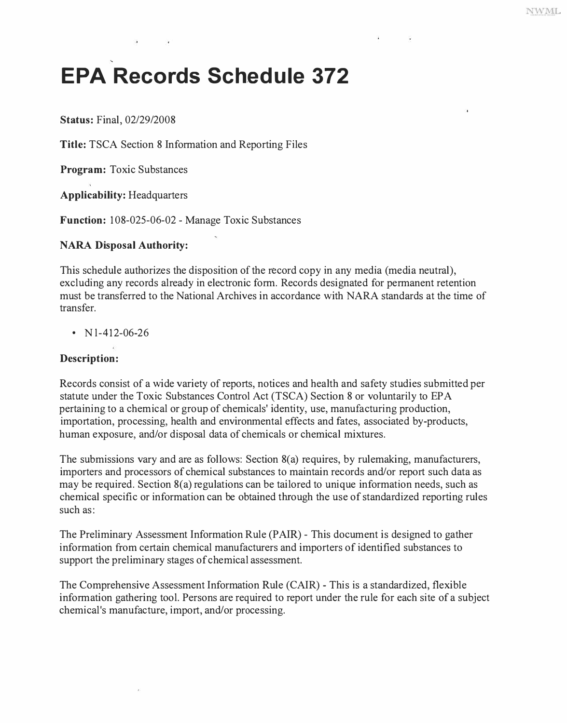# **EPA Records Schedule 372**

**Status:** Final, 02/29/2008

**Title:** TSCA Section 8 Information and Reporting Files

**Program:** Toxic Substances

**Applicability:** Headquarters

**Function:** 108-025-06-02 - Manage Toxic Substances

# **NARA Disposal Authority:**

This schedule authorizes the disposition of the record copy in any media (media neutral), excluding any records already in electronic form. Records designated for permanent retention must be transferred to the National Archives in accordance with NARA standards at the time of transfer.

•  $N1-412-06-26$ 

# **Description:**

Records consist of a wide variety of reports, notices and health and safety studies submitted per statute under the Toxic Substances Control Act (TSCA) Section 8 or voluntarily to EPA pertaining to a chemical or group of chemicals' identity, use, manufacturing production, importation, processing, health and environmental effects and fates, associated by-products, human exposure, and/or disposal data of chemicals or chemical mixtures.

The submissions vary and are as follows: Section 8(a) requires, by rulemaking, manufacturers, importers and processors of chemical substances to maintain records and/or report such data as may be required. Section 8(a) regulations can be tailored to unique information needs, such as chemical specific or information can be obtained through the use of standardized reporting rules such as:

The Preliminary Assessment Information Rule (PAIR) - This document is designed to gather information from certain chemical manufacturers and importers of identified substances to support the preliminary stages of chemical assessment.

The Comprehensive Assessment Information Rule (CAIR) - This is a standardized, flexible information gathering tool. Persons are required to report under the rule for each site of a subject chemical's manufacture, import, and/or processing.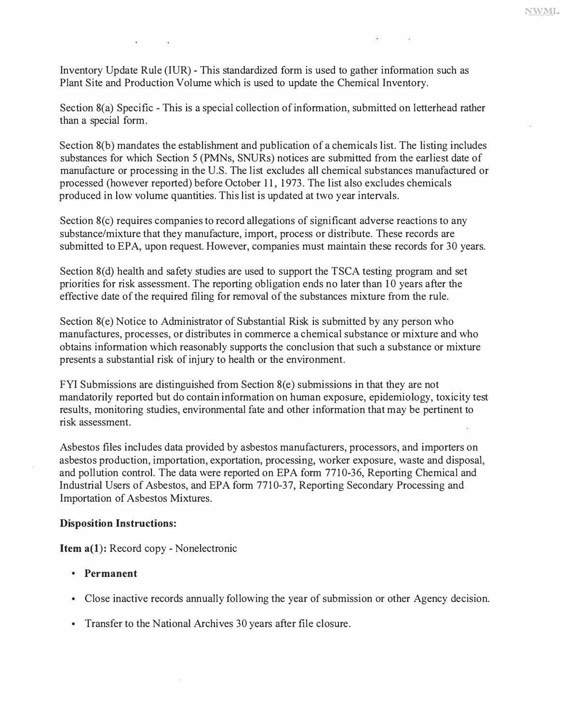Inventory Update Rule (IUR) - This standardized form is used to gather information such as Plant Site and Production Volume which is used to update the Chemical Inventory.

Section 8(a) Specific - This is a special collection of information, submitted on letterhead rather than a special form.

Section 8(b) mandates the establishment and publication of a chemicals list. The listing includes substances for which Section 5 (PMNs, SNURs) notices are submitted from the earliest date of manufacture or processing in the U.S. The list excludes all chemical substances manufactured or processed (however reported) before October 11, 1973. The list also excludes chemicals produced in low volume quantities. This list is updated at two year intervals.

Section 8(c) requires companies to record allegations of significant adverse reactions to any substance/mixture that they manufacture, import, process or distribute. These records are submitted to EPA, upon request. However, companies must maintain these records for 30 years.

Section 8(d) health and safety studies are used to support the TSCA testing program and set priorities for risk assessment. The reporting obligation ends no later than 10 years after the effective date of the required filing for removal of the substances mixture from the rule.

Section 8(e) Notice to Administrator of Substantial Risk is submitted by any person who manufactures, processes, or distributes in commerce a chemical substance or mixture and who obtains information which reasonably supports the conclusion that such a substance or mixture presents a substantial risk of injury to health or the environment.

FYI Submissions are distinguished from Section  $8(e)$  submissions in that they are not mandatorily reported but do contain information on human exposure, epidemiology, toxicity test results, monitoring studies, environmental fate and other information that may be pertinent to risk assessment.

Asbestos files includes data provided by asbestos manufacturers, processors, and importers on asbestos production, importation, exportation, processing, worker exposure, waste and disposal, and pollution control. The data were reported on EPA form 7710-36, Reporting Chemical and Industrial Users of Asbestos, and EPA form 7710-37, Reporting Secondary Processing and Importation of Asbestos Mixtures.

#### **Disposition Instructions:**

**Item a(l):** Record copy - Nonelectronic

- **Permanent**
- Close inactive records annually following the year of submission or other Agency decision.
- Transfer to the National Archives 30 years after file closure.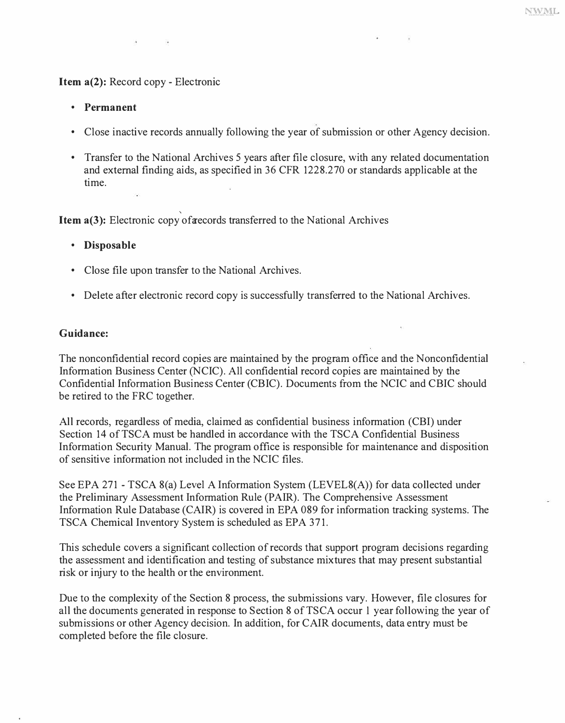## **Item a(2):** Record copy - Electronic

- **Permanent**
- Close inactive records annually following the year of submission or other Agency decision.
- Transfer to the National Archives 5 years after file closure, with any related documentation and external finding aids, as specified in 36 CFR 1228.270 or standards applicable at the time.

' **Item a(3):** Electronic copy of **a** ecords transferred to the National Archives

- **Disposable**
- Close file upon transfer to the National Archives.
- Delete after electronic record copy is successfully transferred to the National Archives.

#### **Guidance:**

The nonconfidential record copies are maintained by the program office and the Nonconfidential Information Business Center (NCIC). All confidential record copies are maintained by the Confidential Information Business Center (CBIC). Documents from the NCIC and CBIC should be retired to the FRC together.

All records, regardless of media, claimed as confidential business information (CBI) under Section 14 of TSCA must be handled in accordance with the TSCA Confidential Business Information Security Manual. The program office is responsible for maintenance and disposition of sensitive information not included in the NCIC files.

See EPA 271 - TSCA 8(a) Level A Information System (LEVEL8(A)) for data collected under the Preliminary Assessment Information Rule (PAIR). The Comprehensive Assessment Information Rule Database (CAIR) is covered in EPA 089 for information tracking systems. The TSCA Chemical Inventory System is scheduled as EPA 371.

This schedule covers a significant collection of records that support program decisions regarding the assessment and identification and testing of substance mixtures that may present substantial risk or injury to the health or the environment.

Due to the complexity of the Section 8 process, the submissions vary. However, file closures for all the documents generated in response to Section 8 of TSCA occur 1 year following the year of submissions or other Agency decision. In addition, for CAIR documents, data entry must be completed before the file closure.